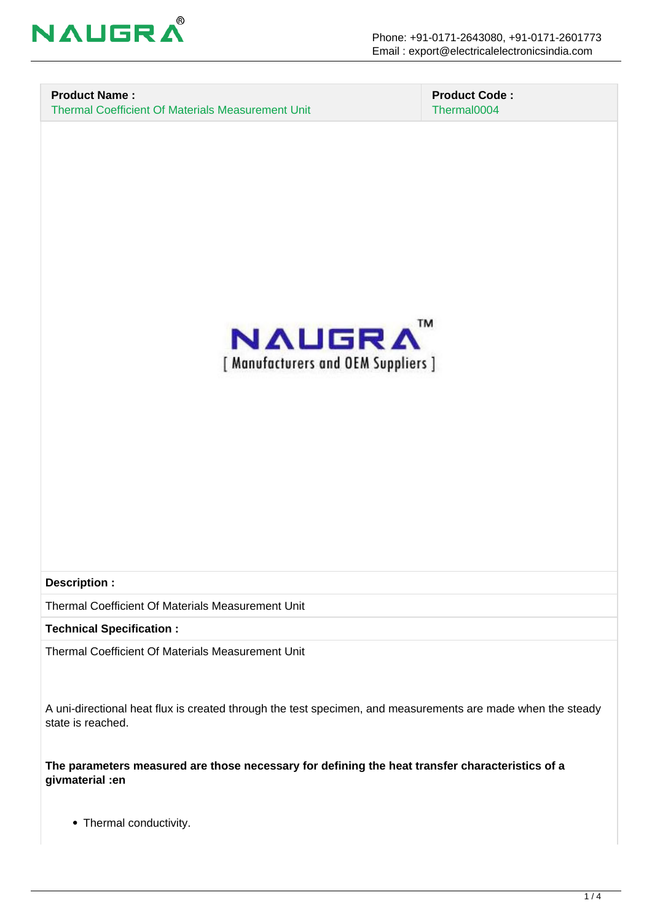

#### **Product Name :** Thermal Coefficient Of Materials Measurement Unit

 **Product Code :** Thermal0004



#### **Description :**

Thermal Coefficient Of Materials Measurement Unit

**Technical Specification :**

Thermal Coefficient Of Materials Measurement Unit

A uni-directional heat flux is created through the test specimen, and measurements are made when the steady state is reached.

**The parameters measured are those necessary for defining the heat transfer characteristics of a givmaterial :en** 

• Thermal conductivity.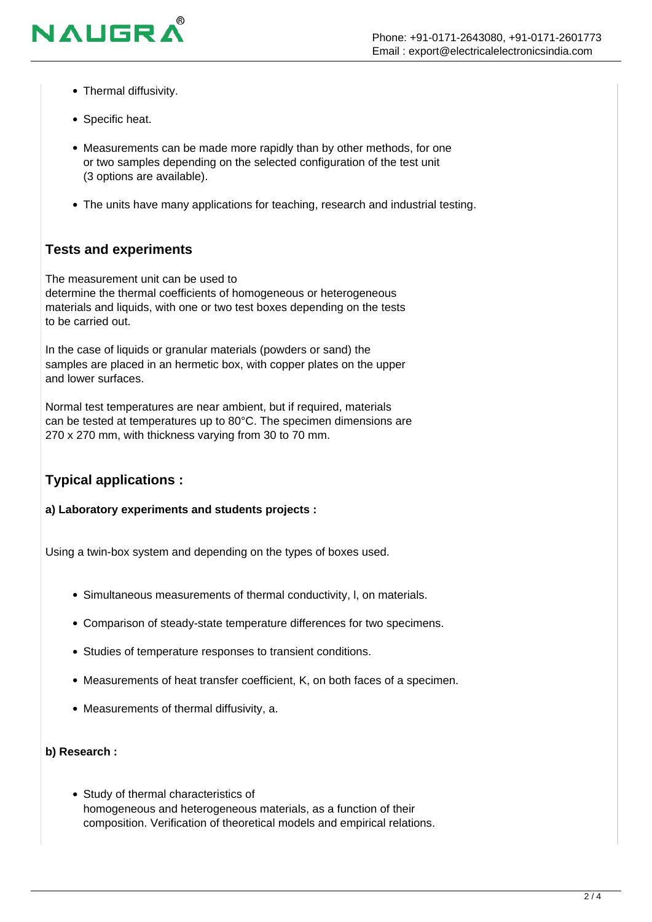- Thermal diffusivity.
- Specific heat.

**NAUGR** 

- Measurements can be made more rapidly than by other methods, for one or two samples depending on the selected configuration of the test unit (3 options are available).
- The units have many applications for teaching, research and industrial testing.

## **Tests and experiments**

The measurement unit can be used to determine the thermal coefficients of homogeneous or heterogeneous materials and liquids, with one or two test boxes depending on the tests to be carried out.

In the case of liquids or granular materials (powders or sand) the samples are placed in an hermetic box, with copper plates on the upper and lower surfaces.

Normal test temperatures are near ambient, but if required, materials can be tested at temperatures up to 80°C. The specimen dimensions are 270 x 270 mm, with thickness varying from 30 to 70 mm.

## **Typical applications :**

**a) Laboratory experiments and students projects :**

Using a twin-box system and depending on the types of boxes used.

- Simultaneous measurements of thermal conductivity, l, on materials.
- Comparison of steady-state temperature differences for two specimens.
- Studies of temperature responses to transient conditions.
- Measurements of heat transfer coefficient, K, on both faces of a specimen.
- Measurements of thermal diffusivity, a.

#### **b) Research :**

Study of thermal characteristics of homogeneous and heterogeneous materials, as a function of their composition. Verification of theoretical models and empirical relations.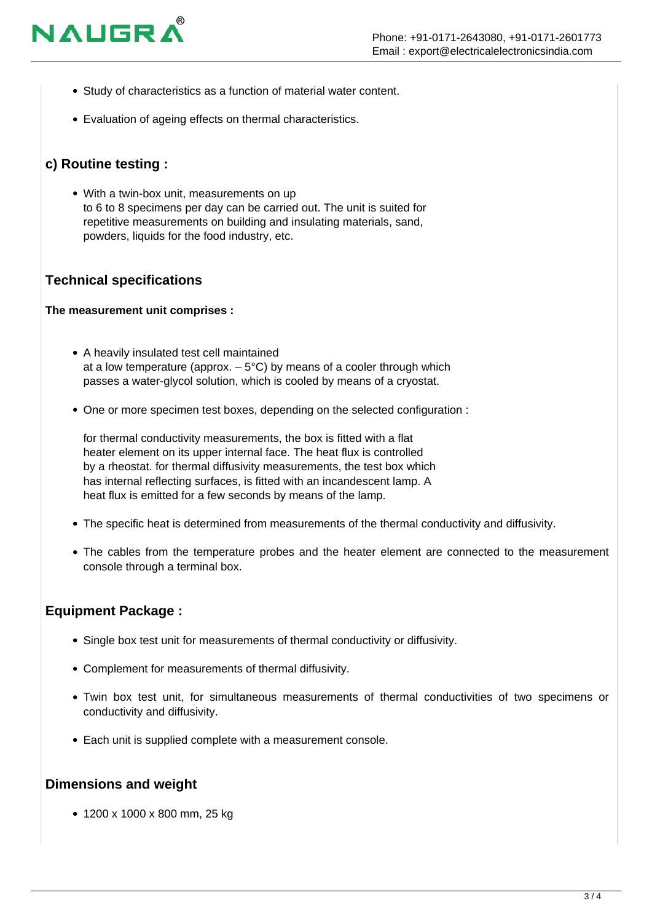

- Study of characteristics as a function of material water content.
- Evaluation of ageing effects on thermal characteristics.

# **c) Routine testing :**

With a twin-box unit, measurements on up to 6 to 8 specimens per day can be carried out. The unit is suited for repetitive measurements on building and insulating materials, sand, powders, liquids for the food industry, etc.

## **Technical specifications**

#### **The measurement unit comprises :**

- A heavily insulated test cell maintained at a low temperature (approx.  $-5^{\circ}$ C) by means of a cooler through which passes a water-glycol solution, which is cooled by means of a cryostat.
- One or more specimen test boxes, depending on the selected configuration :

for thermal conductivity measurements, the box is fitted with a flat heater element on its upper internal face. The heat flux is controlled by a rheostat. for thermal diffusivity measurements, the test box which has internal reflecting surfaces, is fitted with an incandescent lamp. A heat flux is emitted for a few seconds by means of the lamp.

- The specific heat is determined from measurements of the thermal conductivity and diffusivity.
- The cables from the temperature probes and the heater element are connected to the measurement console through a terminal box.

## **Equipment Package :**

- Single box test unit for measurements of thermal conductivity or diffusivity.
- Complement for measurements of thermal diffusivity.
- Twin box test unit, for simultaneous measurements of thermal conductivities of two specimens or conductivity and diffusivity.
- Each unit is supplied complete with a measurement console.

## **Dimensions and weight**

1200 x 1000 x 800 mm, 25 kg